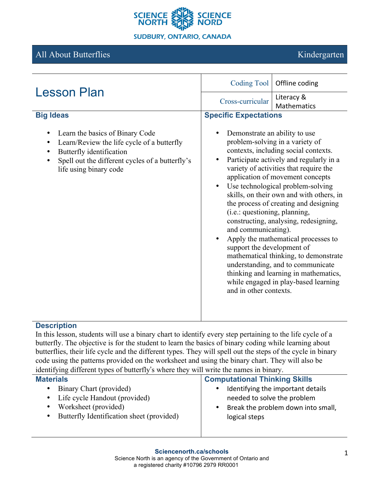

# All About Butterflies **Kindergarten**

| <b>Lesson Plan</b>                                                                                                                                                                     | Coding Tool<br>Offline coding                                                                                                                                                                                                                                                                                                                                                                                                                                                                                                                                                                                                                                                                                                                        |  |
|----------------------------------------------------------------------------------------------------------------------------------------------------------------------------------------|------------------------------------------------------------------------------------------------------------------------------------------------------------------------------------------------------------------------------------------------------------------------------------------------------------------------------------------------------------------------------------------------------------------------------------------------------------------------------------------------------------------------------------------------------------------------------------------------------------------------------------------------------------------------------------------------------------------------------------------------------|--|
|                                                                                                                                                                                        | Literacy &<br>Cross-curricular<br><b>Mathematics</b>                                                                                                                                                                                                                                                                                                                                                                                                                                                                                                                                                                                                                                                                                                 |  |
| <b>Big Ideas</b>                                                                                                                                                                       | <b>Specific Expectations</b>                                                                                                                                                                                                                                                                                                                                                                                                                                                                                                                                                                                                                                                                                                                         |  |
| Learn the basics of Binary Code<br>Learn/Review the life cycle of a butterfly<br>Butterfly identification<br>Spell out the different cycles of a butterfly's<br>life using binary code | Demonstrate an ability to use<br>problem-solving in a variety of<br>contexts, including social contexts.<br>Participate actively and regularly in a<br>$\bullet$<br>variety of activities that require the<br>application of movement concepts<br>Use technological problem-solving<br>$\bullet$<br>skills, on their own and with others, in<br>the process of creating and designing<br>(i.e.: questioning, planning,<br>constructing, analysing, redesigning,<br>and communicating).<br>Apply the mathematical processes to<br>support the development of<br>mathematical thinking, to demonstrate<br>understanding, and to communicate<br>thinking and learning in mathematics,<br>while engaged in play-based learning<br>and in other contexts. |  |

### **Description**

In this lesson, students will use a binary chart to identify every step pertaining to the life cycle of a butterfly. The objective is for the student to learn the basics of binary coding while learning about butterflies, their life cycle and the different types. They will spell out the steps of the cycle in binary code using the patterns provided on the worksheet and using the binary chart. They will also be identifying different types of butterfly's where they will write the names in binary.

| <b>Materials</b>                          | <b>Computational Thinking Skills</b> |
|-------------------------------------------|--------------------------------------|
| Binary Chart (provided)                   | Identifying the important details    |
| ٠                                         | ٠                                    |
| • Life cycle Handout (provided)           | needed to solve the problem          |
| Worksheet (provided)                      | Break the problem down into small,   |
| Butterfly Identification sheet (provided) | $\bullet$                            |
| $\bullet$                                 | logical steps                        |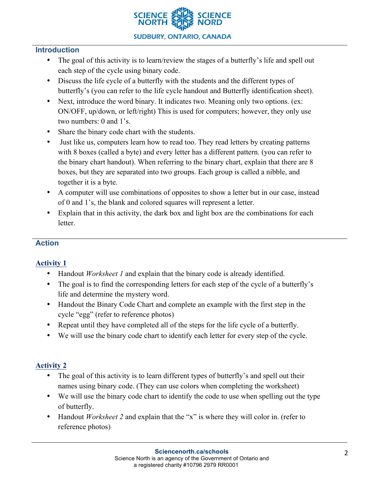

### **Introduction**

- The goal of this activity is to learn/review the stages of a butterfly's life and spell out each step of the cycle using binary code.
- Discuss the life cycle of a butterfly with the students and the different types of butterfly's (you can refer to the life cycle handout and Butterfly identification sheet).
- Next, introduce the word binary. It indicates two. Meaning only two options. (ex: ON/OFF, up/down, or left/right) This is used for computers; however, they only use two numbers: 0 and 1's.
- Share the binary code chart with the students.
- Just like us, computers learn how to read too. They read letters by creating patterns with 8 boxes (called a byte) and every letter has a different pattern. (you can refer to the binary chart handout). When referring to the binary chart, explain that there are 8 boxes, but they are separated into two groups. Each group is called a nibble, and together it is a byte.
- A computer will use combinations of opposites to show a letter but in our case, instead of 0 and 1's, the blank and colored squares will represent a letter.
- Explain that in this activity, the dark box and light box are the combinations for each letter.

#### **Action**

# **Activity 1**

- Handout *Worksheet 1* and explain that the binary code is already identified.
- The goal is to find the corresponding letters for each step of the cycle of a butterfly's life and determine the mystery word.
- Handout the Binary Code Chart and complete an example with the first step in the cycle "egg" (refer to reference photos)
- Repeat until they have completed all of the steps for the life cycle of a butterfly.
- We will use the binary code chart to identify each letter for every step of the cycle.

# **Activity 2**

- The goal of this activity is to learn different types of butterfly's and spell out their names using binary code. (They can use colors when completing the worksheet)
- We will use the binary code chart to identify the code to use when spelling out the type of butterfly.
- Handout *Worksheet 2* and explain that the "x" is where they will color in. (refer to reference photos)